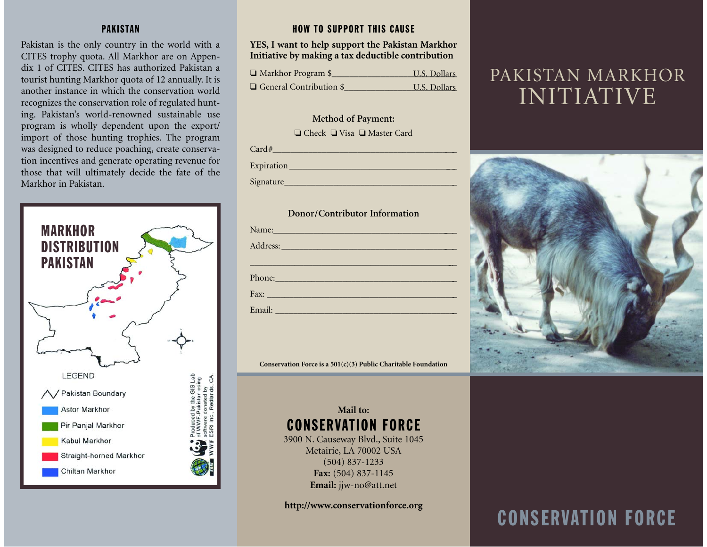## PAKISTAN

Pakistan is the only country in the world with a CITES trophy quota. All Markhor are on Appendix 1 of CITES. CITES has authorized Pakistan a tourist hunting Markhor quota of 12 annually. It is another instance in which the conservation worldrecognizes the conservation role of regulated hunting. Pakistan's world-renowned sustainable use program is wholly dependent upon the export/ import of those hunting trophies. The program was designed to reduce poaching, create conservation incentives and generate operating revenue for those that will ultimately decide the fate of the Markhor in Pakistan.



## HOW TO SUPPORT THIS CAUSE

### **YES, I want to help support the Pakistan Markhor Initiative by making a tax deductible contribution**

| $\Box$ Markhor Program \$      | U.S. Dollars |
|--------------------------------|--------------|
| $\Box$ General Contribution \$ | U.S. Dollars |

### **Method of Payment:**

❏ Check ❏ Visa ❏ Master Card

| $-1.11$<br>$\sqrt{ }$ |  |  |  |
|-----------------------|--|--|--|
|                       |  |  |  |

Expiration **Expiration** 

Signature

#### **Donor/Contributor Information**

| Name: Name and the state of the state of the state of the state of the state of the state of the state of the state of the state of the state of the state of the state of the state of the state of the state of the state of |  |
|--------------------------------------------------------------------------------------------------------------------------------------------------------------------------------------------------------------------------------|--|
| Address: Note and the contract of the contract of the contract of the contract of the contract of the contract of the contract of the contract of the contract of the contract of the contract of the contract of the contract |  |
|                                                                                                                                                                                                                                |  |
| Phone: 2008                                                                                                                                                                                                                    |  |
|                                                                                                                                                                                                                                |  |
| Email: <u>Communication</u>                                                                                                                                                                                                    |  |

**Conservation Force is a 501(c)(3) Public Charitable Foundation**

# **Mail to:**CONSERVATION FORCE

3900 N. Causeway Blvd., Suite 1045 Metairie, LA 70002 USA (504) 837-1233 **Fax:** (504) 837-1145 **Email:** jjw-no@att.net

**http://www.conservationforce.org**

# PAKISTAN MARKHOR INITIATIVE



# CONSERVATION FORCE